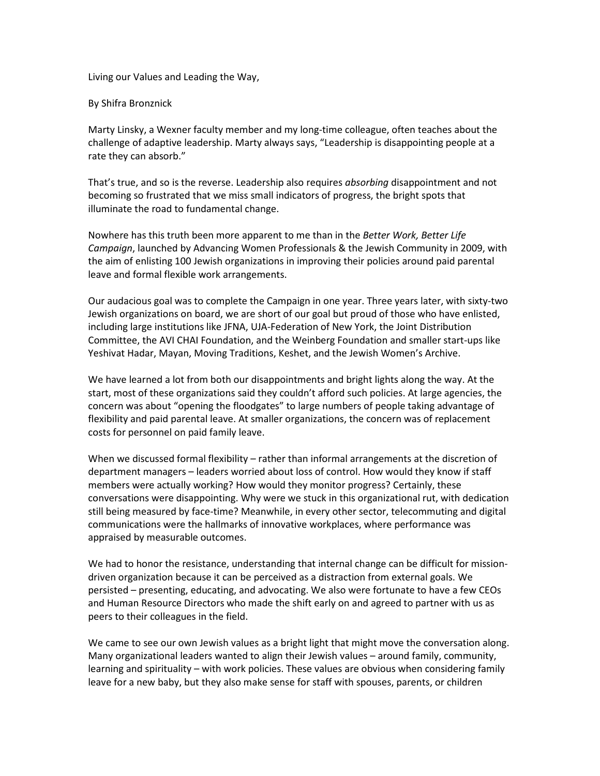Living our Values and Leading the Way,

By Shifra Bronznick

Marty Linsky, a Wexner faculty member and my long-time colleague, often teaches about the challenge of adaptive leadership. Marty always says, "Leadership is disappointing people at a rate they can absorb."

That's true, and so is the reverse. Leadership also requires *absorbing* disappointment and not becoming so frustrated that we miss small indicators of progress, the bright spots that illuminate the road to fundamental change.

Nowhere has this truth been more apparent to me than in the *Better Work, Better Life Campaign*, launched by Advancing Women Professionals & the Jewish Community in 2009, with the aim of enlisting 100 Jewish organizations in improving their policies around paid parental leave and formal flexible work arrangements.

Our audacious goal was to complete the Campaign in one year. Three years later, with sixty-two Jewish organizations on board, we are short of our goal but proud of those who have enlisted, including large institutions like JFNA, UJA-Federation of New York, the Joint Distribution Committee, the AVI CHAI Foundation, and the Weinberg Foundation and smaller start-ups like Yeshivat Hadar, Mayan, Moving Traditions, Keshet, and the Jewish Women's Archive.

We have learned a lot from both our disappointments and bright lights along the way. At the start, most of these organizations said they couldn't afford such policies. At large agencies, the concern was about "opening the floodgates" to large numbers of people taking advantage of flexibility and paid parental leave. At smaller organizations, the concern was of replacement costs for personnel on paid family leave.

When we discussed formal flexibility – rather than informal arrangements at the discretion of department managers – leaders worried about loss of control. How would they know if staff members were actually working? How would they monitor progress? Certainly, these conversations were disappointing. Why were we stuck in this organizational rut, with dedication still being measured by face-time? Meanwhile, in every other sector, telecommuting and digital communications were the hallmarks of innovative workplaces, where performance was appraised by measurable outcomes.

We had to honor the resistance, understanding that internal change can be difficult for missiondriven organization because it can be perceived as a distraction from external goals. We persisted – presenting, educating, and advocating. We also were fortunate to have a few CEOs and Human Resource Directors who made the shift early on and agreed to partner with us as peers to their colleagues in the field.

We came to see our own Jewish values as a bright light that might move the conversation along. Many organizational leaders wanted to align their Jewish values – around family, community, learning and spirituality – with work policies. These values are obvious when considering family leave for a new baby, but they also make sense for staff with spouses, parents, or children